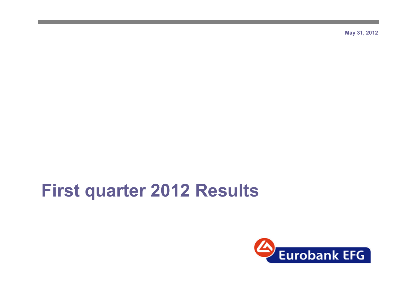**May 31, 2012**

# **First quarter 2012 Results**

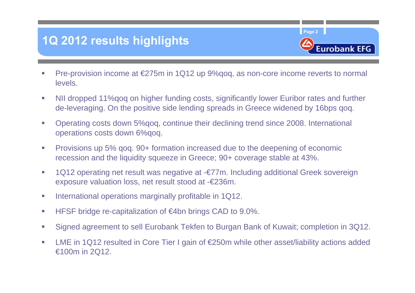### **1Q 2012 results highlights**



- Г Pre-provision income at €275m in 1Q12 up 9%qoq, as non-core income reverts to normal levels.
- $\mathcal{C}$  NII dropped 11%qoq on higher funding costs, significantly lower Euribor rates and further de-leveraging. On the positive side lending spreads in Greece widened by 16bps qoq.
- $\mathcal{L}_{\mathcal{A}}$  Operating costs down 5%qoq, continue their declining trend since 2008. International operations costs down 6%qoq.
- $\overline{\phantom{a}}$  Provisions up 5% qoq. 90+ formation increased due to the deepening of economic recession and the liquidity squeeze in Greece; 90+ coverage stable at 43%.
- $\overline{\phantom{a}}$  1Q12 operating net result was negative at -€77m. Including additional Greek sovereign exposure valuation loss, net result stood at -€236m.
- T. International operations marginally profitable in 1Q12.
- ×, HFSF bridge re-capitalization of €4bn brings CAD to 9.0%.
- H. Signed agreement to sell Eurobank Tekfen to Burgan Bank of Kuwait; completion in 3Q12.
- u, LME in 1Q12 resulted in Core Tier I gain of €250m while other asset/liability actions added €100m in 2Q12.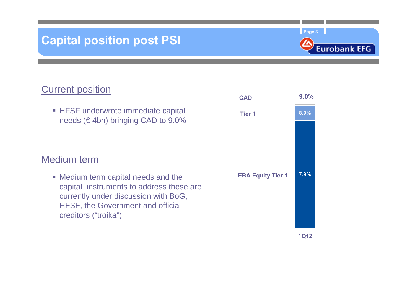### **Capital position post PSI**

**Page 3**



#### **Current position**

**HFSF underwrote immediate capital** needs ( $\in$  4bn) bringing CAD to 9.0%

#### Medium term

 Medium term capital needs and the capital instruments to address these are currently under discussion with BoG, HFSF, the Government and official creditors ("troika").

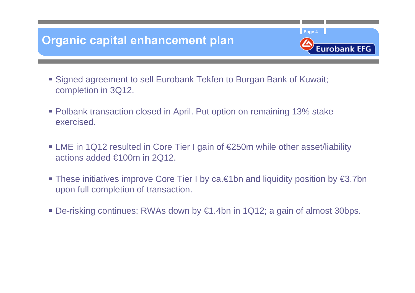### **Organic capital enhancement plan**

 Signed agreement to sell Eurobank Tekfen to Burgan Bank of Kuwait; completion in 3Q12.

**Page 4**

**Eurobank EFG** 

- Polbank transaction closed in April. Put option on remaining 13% stake exercised.
- LME in 1Q12 resulted in Core Tier I gain of €250m while other asset/liability actions added €100m in 2Q12.
- These initiatives improve Core Tier I by ca.€1bn and liquidity position by €3.7bn upon full completion of transaction.
- De-risking continues; RWAs down by €1.4bn in 1Q12; a gain of almost 30bps.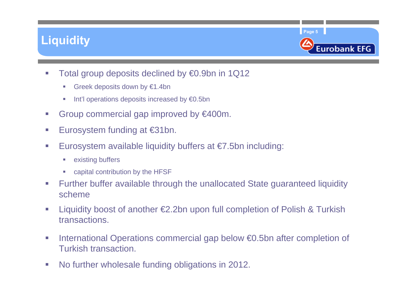### **Liquidity**



- $\sim$  Total group deposits declined by €0.9bn in 1Q12
	- $\blacksquare$ Greek deposits down by €1.4bn
	- $\overline{\phantom{a}}$ Int'l operations deposits increased by €0.5bn
- $\mathcal{C}$ Group commercial gap improved by €400m.
- $\sim$ Eurosystem funding at €31bn.
- $\sim$ Eurosystem available liquidity buffers at  $\epsilon$ 7.5bn including:
	- $\overline{\phantom{a}}$ existing buffers
	- $\mathbb{R}^n$ capital contribution by the HFSF
- $\mathcal{C}$  Further buffer available through the unallocated State guaranteed liquidity scheme
- $\mathcal{L}_{\mathcal{A}}$  Liquidity boost of another €2.2bn upon full completion of Polish & Turkish transactions.
- $\mathcal{L}_{\mathcal{A}}$  International Operations commercial gap below €0.5bn after completion of Turkish transaction.
- $\sim$ No further wholesale funding obligations in 2012.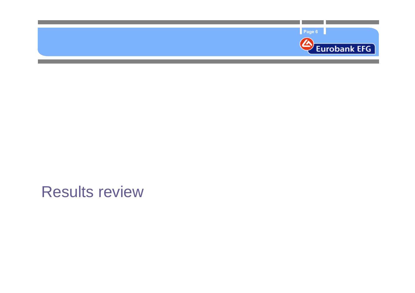

# Results review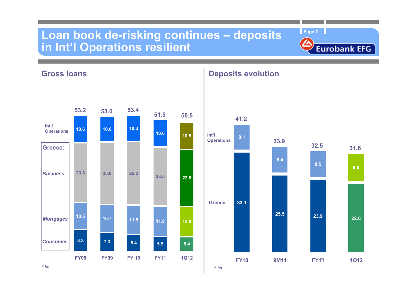#### **Loan book de-risking continues – deposits in Int'l Operations resilient**



**33.18.1 8.3 7.3 5.56.410.5 10.7 11.9 11.5 23.8 25.010.6 10.010.6 5.412.023.5 22.6**25.2<br>**23.5 10.510.3FY08 FY09 FY 10 FY11 1Q12 Greece53.2 53.4 51.5 53.0 41.2 50.5** *BusinessMortgages Consumer***Greece: 31.6Int'l Operations IDEN IDEN IDEN IDEN IDEN IDEN IDEN IDEN Operations**

**Deposits evolution**



**Gross loans**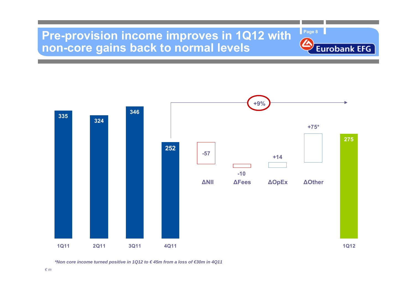#### **Pre-provision income improves in 1Q12 with non-core gains back to normal levels**



**Page 8**

**Eurobank EFG** 

*\*Non core income turned positive in 1Q12 to € 45m from a loss of €30m in 4Q11*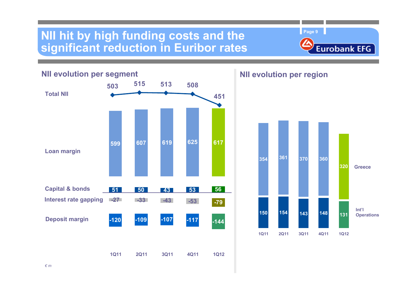#### **NII hit by high funding costs and the significant reduction in Euribor rates**

**Page 9**



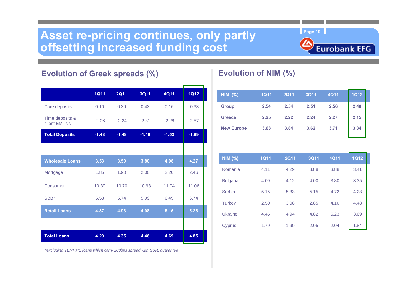#### Asset re-pricing continues, only partly **Page 10 Page 10 offsetting increased funding cost**



#### **Evolution of Greek spreads (%)**

|                                 | <b>1Q11</b> | <b>2Q11</b> | <b>3Q11</b> | <b>4Q11</b> | <b>1Q12</b> |
|---------------------------------|-------------|-------------|-------------|-------------|-------------|
| Core deposits                   | 0.10        | 0.39        | 0.43        | 0.16        | $-0.33$     |
| Time deposits &<br>client EMTNs | $-2.06$     | $-2.24$     | $-2.31$     | $-2.28$     | $-2.57$     |
| <b>Total Deposits</b>           | $-1.48$     | $-1.48$     | $-1.49$     | $-1.52$     | $-1.89$     |
|                                 |             |             |             |             |             |
| <b>Wholesale Loans</b>          | 3.53        | 3.59        | 3.80        | 4.08        | 4.27        |
| Mortgage                        | 1.85        | 1.90        | 2.00        | 2.20        | 2.46        |
| Consumer                        | 10.39       | 10.70       | 10.93       | 11.04       | 11.06       |
| SBB*                            | 5.53        | 5.74        | 5.99        | 6.49        | 6.74        |
| <b>Retail Loans</b>             | 4.87        | 4.93        | 4.98        | 5.15        | 5.28        |
|                                 |             |             |             |             |             |
| <b>Total Loans</b>              | 4.29        | 4.35        | 4.46        | 4.69        | 4.85        |

#### **Evolution of NIM (%)**

| NIM (%)           | <b>1Q11</b> | <b>2Q11</b> | <b>3Q11</b> | 4Q11 | <b>1Q12</b> |
|-------------------|-------------|-------------|-------------|------|-------------|
| <b>Group</b>      | 2.54        | 2.54        | 2.51        | 2.56 | 2.40        |
| <b>Greece</b>     | 2.25        | 2.22        | 2.24        | 2.27 | 2.15        |
| <b>New Europe</b> | 3.63        | 3.84        | 3.62        | 3.71 | 3.34        |

| <b>NIM (%)</b>  | <b>1Q11</b> | <b>2Q11</b> | <b>3Q11</b> | <b>4Q11</b> | <b>1Q12</b> |
|-----------------|-------------|-------------|-------------|-------------|-------------|
| Romania         | 4.11        | 4.29        | 3.88        | 3.88        | 3.41        |
| <b>Bulgaria</b> | 4.09        | 4.12        | 4.00        | 3.80        | 3.35        |
| Serbia          | 5.15        | 5.33        | 5.15        | 4.72        | 4.23        |
| <b>Turkey</b>   | 2.50        | 3.08        | 2.85        | 4.16        | 4.48        |
| <b>Ukraine</b>  | 4.45        | 4.94        | 4.82        | 5.23        | 3.69        |
| Cyprus          | 1.79        | 1.99        | 2.05        | 2.04        | 1.84        |

*\*excluding TEMPME loans which carry 200bps spread with Govt. guarantee*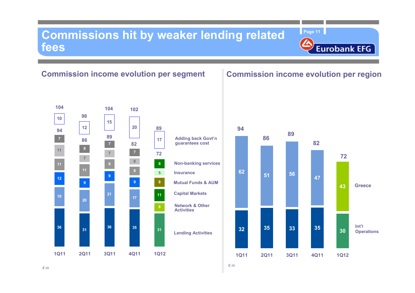#### **Commissions hit by weaker lending related fees**

#### **Commission income evolution per segment**

#### **36 31 <sup>36</sup> <sup>35</sup> <sup>31</sup> 8129 9 9 1111 11 9 117 76 5 8 7 7 810 1215201717 21 2018 88 7 1Q11 2Q11 3Q11 4Q11 1Q12 Network & Other ActivitiesMutual Funds & AUMLending Activities Capital Markets InsuranceNon-banking services 944**  $\begin{bmatrix} 12 \\ 12 \end{bmatrix}$   $\begin{bmatrix} 20 \\ 39 \end{bmatrix}$  89 **86 <sup>86</sup> <sup>89</sup> <sup>89</sup> 82Adding back Govt'n guarantees cost 10498104 1027289**

#### **Commission income evolution per region**

**Page 11**

**Eurobank EFG** 

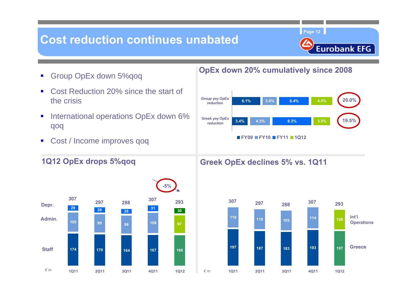### **Cost reduction continues unabated**

**Page 12**



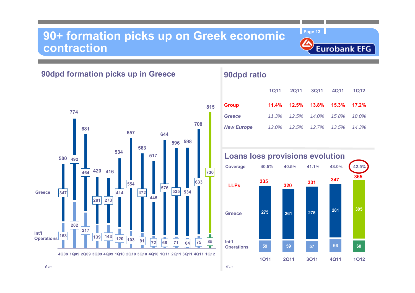#### **90+ formation picks up on Greek economic contraction**

**Page 13**



**90dpd formation picks up in Greece**



#### **90dpd ratio**

|                   | 1011 |                                              | 2Q11 3Q11 4Q11 | 1Q12     |
|-------------------|------|----------------------------------------------|----------------|----------|
| <b>Group</b>      |      | $11.4\%$ $12.5\%$ $13.8\%$ $15.3\%$ $17.2\%$ |                |          |
| Greece            |      | 11.3%  12.5%  14.0%  15.8%  18.0%            |                |          |
| <b>New Europe</b> |      | 12.0%  12.5%  12.7%  13.5%                   |                | $14.3\%$ |

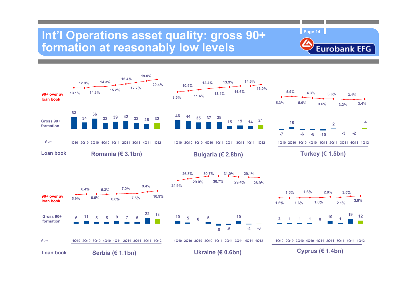#### Int'l Operations asset quality: gross 90+ **formation at reasonably low levels**



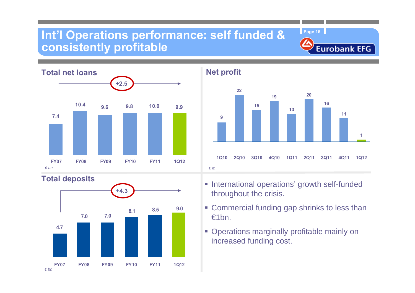#### **Int'l Operations performance: self funded & consistently profitable**



**Total deposits**





**Page 15**

**Eurobank EFG** 

- **International operations' growth self-funded** throughout the crisis.
- **Commercial funding gap shrinks to less than** €1bn.
- **Operations marginally profitable mainly on** increased funding cost.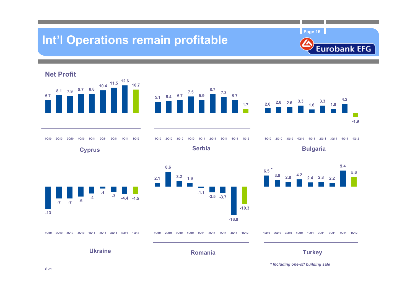### **Int'l Operations remain profitable**

**Page 16**





*\* Including one-off building sale*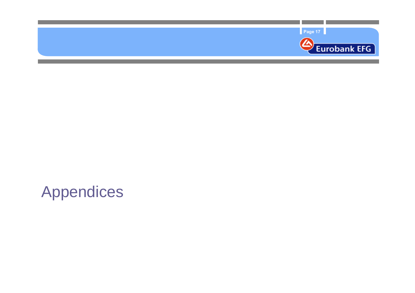

# Appendices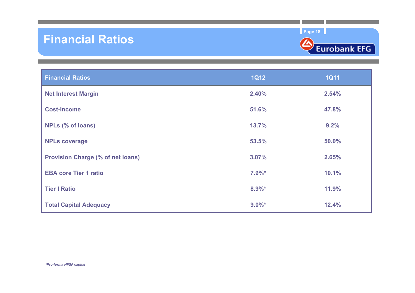#### **Financial Ratios**

**Page 18**



| <b>Financial Ratios</b>                  | <b>1Q12</b> | <b>1Q11</b> |
|------------------------------------------|-------------|-------------|
| <b>Net Interest Margin</b>               | 2.40%       | 2.54%       |
| <b>Cost-Income</b>                       | 51.6%       | 47.8%       |
| NPLs (% of loans)                        | 13.7%       | 9.2%        |
| <b>NPLs coverage</b>                     | 53.5%       | 50.0%       |
| <b>Provision Charge (% of net loans)</b> | 3.07%       | 2.65%       |
| <b>EBA core Tier 1 ratio</b>             | $7.9%$ *    | 10.1%       |
| <b>Tier I Ratio</b>                      | $8.9%$ *    | 11.9%       |
| <b>Total Capital Adequacy</b>            | $9.0\%$ *   | 12.4%       |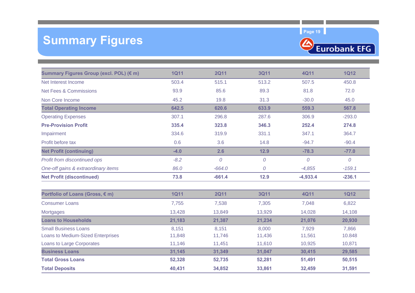### **Summary Figures**



| Summary Figures Group (excl. POL) (€ m)  | <b>1Q11</b> | <b>2Q11</b> | <b>3Q11</b>    | <b>4Q11</b> | <b>1Q12</b>    |
|------------------------------------------|-------------|-------------|----------------|-------------|----------------|
| Net Interest Income                      | 503.4       | 515.1       | 513.2          | 507.5       | 450.8          |
| <b>Net Fees &amp; Commissions</b>        | 93.9        | 85.6        | 89.3           | 81.8        | 72.0           |
| Non Core Income                          | 45.2        | 19.8        | 31.3           | $-30.0$     | 45.0           |
| <b>Total Operating Income</b>            | 642.5       | 620.6       | 633.9          | 559.3       | 567.8          |
| <b>Operating Expenses</b>                | 307.1       | 296.8       | 287.6          | 306.9       | $-293.0$       |
| <b>Pre-Provision Profit</b>              | 335.4       | 323.8       | 346.3          | 252.4       | 274.8          |
| Impairment                               | 334.6       | 319.9       | 331.1          | 347.1       | 364.7          |
| Profit before tax                        | 0.6         | 3.6         | 14.8           | $-94.7$     | $-90.4$        |
| <b>Net Profit (continuing)</b>           | $-4.0$      | 2.6         | 12.9           | $-78.3$     | $-77.0$        |
| Profit from discontinued ops             | $-8.2$      | 0           | ${\cal O}$     | $\cal O$    | $\overline{O}$ |
| One-off gains & extraordinary items      | 86.0        | $-664.0$    | $\overline{O}$ | $-4,855$    | $-159.1$       |
| <b>Net Profit (discontinued)</b>         | 73.8        | $-661.4$    | 12.9           | $-4,933.4$  | $-236.1$       |
| Portfolio of Loans (Gross, € m)          | <b>1Q11</b> | <b>2Q11</b> | <b>3Q11</b>    | <b>4Q11</b> | <b>1Q12</b>    |
| <b>Consumer Loans</b>                    | 7,755       | 7,538       | 7,305          | 7,048       | 6,822          |
| <b>Mortgages</b>                         | 13,428      | 13,849      | 13,929         | 14,028      | 14,108         |
| <b>Loans to Households</b>               | 21,183      | 21,387      | 21,234         | 21,076      | 20,930         |
| <b>Small Business Loans</b>              | 8,151       | 8,151       | 8,000          | 7,929       | 7,866          |
| <b>Loans to Medium-Sized Enterprises</b> | 11,848      | 11,746      | 11,436         | 11,561      | 10.848         |
| Loans to Large Corporates                | 11,146      | 11,451      | 11,610         | 10,925      | 10,871         |
| <b>Business Loans</b>                    | 31,145      | 31,349      | 31,047         | 30,415      | 29,585         |
| <b>Total Gross Loans</b>                 | 52,328      | 52,735      | 52,281         | 51,491      | 50,515         |
| <b>Total Deposits</b>                    | 40,431      | 34,852      | 33,861         | 32,459      | 31,591         |
|                                          |             |             |                |             |                |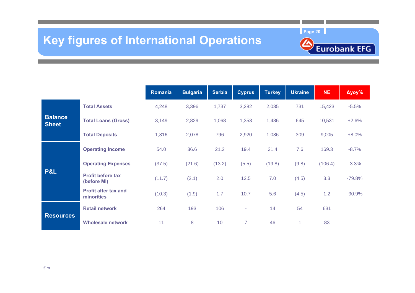### **Key figures of International Operations**

**Page 20**



|                                |                                           | Romania | <b>Bulgaria</b> | <b>Serbia</b> | <b>Cyprus</b>  | <b>Turkey</b> | <b>Ukraine</b> | <b>NE</b> | $\Delta$ yoy% |
|--------------------------------|-------------------------------------------|---------|-----------------|---------------|----------------|---------------|----------------|-----------|---------------|
|                                | <b>Total Assets</b>                       | 4,248   | 3,396           | 1,737         | 3,282          | 2,035         | 731            | 15,423    | $-5.5%$       |
| <b>Balance</b><br><b>Sheet</b> | <b>Total Loans (Gross)</b>                | 3,149   | 2,829           | 1,068         | 1,353          | 1,486         | 645            | 10,531    | $+2.6%$       |
|                                | <b>Total Deposits</b>                     | 1,816   | 2,078           | 796           | 2,920          | 1,086         | 309            | 9,005     | $+8.0%$       |
|                                | <b>Operating Income</b>                   | 54.0    | 36.6            | 21.2          | 19.4           | 31.4          | 7.6            | 169.3     | $-8.7%$       |
|                                | <b>Operating Expenses</b>                 | (37.5)  | (21.6)          | (13.2)        | (5.5)          | (19.8)        | (9.8)          | (106.4)   | $-3.3%$       |
| P&L                            | <b>Profit before tax</b><br>(before MI)   | (11.7)  | (2.1)           | 2.0           | 12.5           | 7.0           | (4.5)          | 3.3       | $-79.8%$      |
|                                | <b>Profit after tax and</b><br>minorities | (10.3)  | (1.9)           | 1.7           | 10.7           | 5.6           | (4.5)          | 1.2       | $-90.9%$      |
|                                | <b>Retail network</b>                     | 264     | 193             | 106           | ÷              | 14            | 54             | 631       |               |
| <b>Resources</b>               | <b>Wholesale network</b>                  | 11      | 8               | 10            | $\overline{7}$ | 46            |                | 83        |               |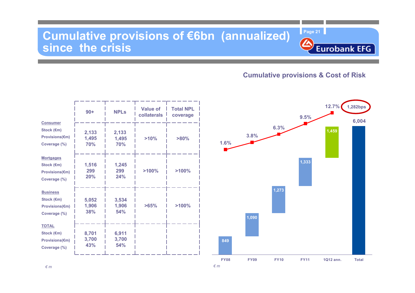#### **Cumulative provisions of €6bn (annualized) since the crisis**

#### **Cumulative provisions & Cost of Risk**

**Eurobank EFG** 

|                                                                        | $90+$                 | <b>NPLs</b>           | Value of<br>collaterals | <b>Total NPL</b><br>coverage |
|------------------------------------------------------------------------|-----------------------|-----------------------|-------------------------|------------------------------|
| <b>Consumer</b><br>Stock (€m)<br><b>Provisions(€m)</b><br>Coverage (%) | 2,133<br>1,495<br>70% | 2,133<br>1,495<br>70% | >10%                    | $>80\%$                      |
| <b>Mortgages</b><br>Stock (€m)<br>Provisions(€m)<br>Coverage (%)       | 1,516<br>299<br>20%   | 1,245<br>299<br>24%   | >100%                   | >100%                        |
| <b>Business</b><br>Stock (€m)<br><b>Provisions(€m)</b><br>Coverage (%) | 5,052<br>1,906<br>38% | 3,534<br>1,906<br>54% | $>65\%$                 | >100%                        |
| <b>TOTAL</b><br>Stock (€m)<br><b>Provisions(€m)</b><br>Coverage (%)    | 8,701<br>3,700<br>43% | 6,911<br>3,700<br>54% |                         |                              |

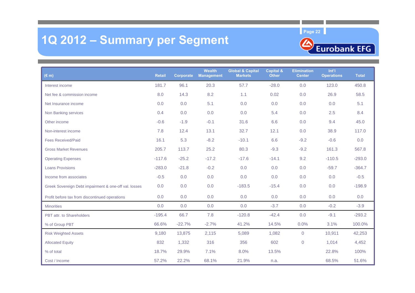### **1Q 2012 – Summary per Segment**



| $(\epsilon m)$                                        | <b>Retail</b> | Corporate | Wealth<br><b>Management</b> | <b>Global &amp; Capital</b><br><b>Markets</b> | <b>Capital &amp;</b><br><b>Other</b> | <b>Elimination</b><br><b>Center</b> | Int'l<br><b>Operations</b> | <b>Total</b> |
|-------------------------------------------------------|---------------|-----------|-----------------------------|-----------------------------------------------|--------------------------------------|-------------------------------------|----------------------------|--------------|
| Interest income                                       | 181.7         | 96.1      | 20.3                        | 57.7                                          | $-28.0$                              | 0.0                                 | 123.0                      | 450.8        |
| Net fee & commission income                           | 8.0           | 14.3      | 8.2                         | 1.1                                           | 0.02                                 | 0.0                                 | 26.9                       | 58.5         |
| Net Insurance income                                  | 0.0           | 0.0       | 5.1                         | 0.0                                           | 0.0                                  | 0.0                                 | 0.0                        | 5.1          |
| Non Banking services                                  | 0.4           | 0.0       | 0.0                         | 0.0                                           | 5.4                                  | 0.0                                 | 2.5                        | 8.4          |
| Other income                                          | $-0.6$        | $-1.9$    | $-0.1$                      | 31.6                                          | 6.6                                  | 0.0                                 | 9.4                        | 45.0         |
| Non-interest income                                   | 7.8           | 12.4      | 13.1                        | 32.7                                          | 12.1                                 | 0.0                                 | 38.9                       | 117.0        |
| <b>Fees Received/Paid</b>                             | 16.1          | 5.3       | $-8.2$                      | $-10.1$                                       | 6.6                                  | $-9.2$                              | $-0.6$                     | 0.0          |
| <b>Gross Market Revenues</b>                          | 205.7         | 113.7     | 25.2                        | 80.3                                          | $-9.3$                               | $-9.2$                              | 161.3                      | 567.8        |
| <b>Operating Expenses</b>                             | $-117.6$      | $-25.2$   | $-17.2$                     | $-17.6$                                       | $-14.1$                              | 9.2                                 | $-110.5$                   | $-293.0$     |
| <b>Loans Provisions</b>                               | $-283.0$      | $-21.8$   | $-0.2$                      | 0.0                                           | 0.0                                  | 0.0                                 | $-59.7$                    | $-364.7$     |
| Income from associates                                | $-0.5$        | 0.0       | 0.0                         | 0.0                                           | 0.0                                  | 0.0                                 | 0.0                        | $-0.5$       |
| Greek Sovereign Debt impairment & one-off val. losses | 0.0           | 0.0       | 0.0                         | $-183.5$                                      | $-15.4$                              | 0.0                                 | 0.0                        | $-198.9$     |
| Profit before tax from discontinued operations        | 0.0           | 0.0       | 0.0                         | 0.0                                           | 0.0                                  | 0.0                                 | 0.0                        | 0.0          |
| <b>Minorities</b>                                     | 0.0           | 0.0       | 0.0                         | 0.0                                           | $-3.7$                               | 0.0                                 | $-0.2$                     | $-3.9$       |
| PBT attr. to Shareholders                             | $-195.4$      | 66.7      | 7.8                         | $-120.8$                                      | $-42.4$                              | 0.0                                 | $-9.1$                     | $-293.2$     |
| % of Group PBT                                        | 66.6%         | $-22.7%$  | $-2.7%$                     | 41.2%                                         | 14.5%                                | 0.0%                                | 3.1%                       | 100.0%       |
| <b>Risk Weighted Assets</b>                           | 9,180         | 13,875    | 2,115                       | 5,089                                         | 1,082                                | $\overline{0}$                      | 10,911                     | 42,253       |
| <b>Allocated Equity</b>                               | 832           | 1,332     | 316                         | 356                                           | 602                                  | $\overline{0}$                      | 1,014                      | 4,452        |
| % of total                                            | 18.7%         | 29.9%     | 7.1%                        | 8.0%                                          | 13.5%                                |                                     | 22.8%                      | 100%         |
| Cost / Income                                         | 57.2%         | 22.2%     | 68.1%                       | 21.9%                                         | n.a.                                 |                                     | 68.5%                      | 51.6%        |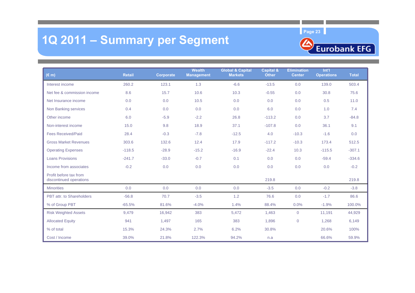## **1Q 2011 – Summary per Segment**



| $(\epsilon m)$                                    | <b>Retail</b> | <b>Corporate</b> | <b>Wealth</b><br><b>Management</b> | <b>Global &amp; Capital</b><br><b>Markets</b> | <b>Capital &amp;</b><br><b>Other</b> | <b>Elimination</b><br><b>Center</b> | Int'l<br><b>Operations</b> | <b>Total</b> |
|---------------------------------------------------|---------------|------------------|------------------------------------|-----------------------------------------------|--------------------------------------|-------------------------------------|----------------------------|--------------|
| Interest income                                   | 260.2         | 123.1            | 1.3                                | $-6.6$                                        | $-13.5$                              | 0.0                                 | 139.0                      | 503.4        |
| Net fee & commission income                       | 8.6           | 15.7             | 10.6                               | 10.3                                          | $-0.55$                              | 0.0                                 | 30.8                       | 75.6         |
| Net Insurance income                              | 0.0           | 0.0              | 10.5                               | 0.0                                           | 0.0                                  | 0.0                                 | 0.5                        | 11.0         |
| Non Banking services                              | 0.4           | 0.0              | 0.0                                | 0.0                                           | 6.0                                  | 0.0                                 | 1.0                        | 7.4          |
| Other income                                      | 6.0           | $-5.9$           | $-2.2$                             | 26.8                                          | $-113.2$                             | 0.0                                 | 3.7                        | $-84.8$      |
| Non-interest income                               | 15.0          | 9.8              | 18.9                               | 37.1                                          | $-107.8$                             | 0.0                                 | 36.1                       | 9.1          |
| <b>Fees Received/Paid</b>                         | 28.4          | $-0.3$           | $-7.8$                             | $-12.5$                                       | 4.0                                  | $-10.3$                             | $-1.6$                     | 0.0          |
| <b>Gross Market Revenues</b>                      | 303.6         | 132.6            | 12.4                               | 17.9                                          | $-117.2$                             | $-10.3$                             | 173.4                      | 512.5        |
| <b>Operating Expenses</b>                         | $-118.5$      | $-28.9$          | $-15.2$                            | $-16.9$                                       | $-22.4$                              | 10.3                                | $-115.5$                   | $-307.1$     |
| <b>Loans Provisions</b>                           | $-241.7$      | $-33.0$          | $-0.7$                             | 0.1                                           | 0.0                                  | 0.0                                 | $-59.4$                    | $-334.6$     |
| Income from associates                            | $-0.2$        | 0.0              | 0.0                                | 0.0                                           | 0.0                                  | 0.0                                 | 0.0                        | $-0.2$       |
| Profit before tax from<br>discontinued operations |               |                  |                                    |                                               | 219.8                                |                                     |                            | 219.8        |
| <b>Minorities</b>                                 | 0.0           | 0.0              | 0.0                                | 0.0                                           | $-3.5$                               | 0.0                                 | $-0.2$                     | $-3.8$       |
| PBT attr. to Shareholders                         | $-56.8$       | 70.7             | $-3.5$                             | 1.2                                           | 76.6                                 | 0.0                                 | $-1.7$                     | 86.6         |
| % of Group PBT                                    | $-65.5%$      | 81.6%            | $-4.0%$                            | 1.4%                                          | 88.4%                                | 0.0%                                | $-1.9%$                    | 100.0%       |
| <b>Risk Weighted Assets</b>                       | 9,479         | 16,942           | 383                                | 5,472                                         | 1,463                                | $\overline{0}$                      | 11,191                     | 44,929       |
| <b>Allocated Equity</b>                           | 941           | 1,497            | 165                                | 383                                           | 1,896                                | $\overline{0}$                      | 1,268                      | 6,149        |
| % of total                                        | 15.3%         | 24.3%            | 2.7%                               | 6.2%                                          | 30.8%                                |                                     | 20.6%                      | 100%         |
| Cost / Income                                     | 39.0%         | 21.8%            | 122.3%                             | 94.2%                                         | n.a                                  |                                     | 66.6%                      | 59.9%        |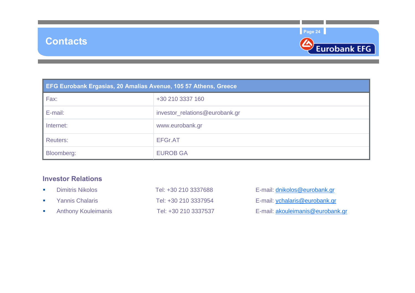



| EFG Eurobank Ergasias, 20 Amalias Avenue, 105 57 Athens, Greece |                                |  |  |  |  |  |  |
|-----------------------------------------------------------------|--------------------------------|--|--|--|--|--|--|
| Fax:                                                            | +30 210 3337 160               |  |  |  |  |  |  |
| E-mail:                                                         | investor_relations@eurobank.gr |  |  |  |  |  |  |
| Internet:                                                       | www.eurobank.gr                |  |  |  |  |  |  |
| <b>Reuters:</b>                                                 | <b>EFGr.AT</b>                 |  |  |  |  |  |  |
| Bloomberg:                                                      | <b>EUROB GA</b>                |  |  |  |  |  |  |

#### **Investor Relations**

| <b>Dimitris Nikolos</b>    | Tel: +30 210 3337688 | E-mail: dnikolos@eurobank.gr         |
|----------------------------|----------------------|--------------------------------------|
| Yannis Chalaris            | Tel: +30 210 3337954 | E-mail: <i>ychalaris@eurobank.gr</i> |
| <b>Anthony Kouleimanis</b> | Tel: +30 210 3337537 | E-mail: akouleimanis@eurobank.gr     |

| E-mail: dnikolos@eurobank.gr    |
|---------------------------------|
| E-mail: ychalaris@eurobank.gr   |
| E-mail: akouleimanis@eurobank.g |